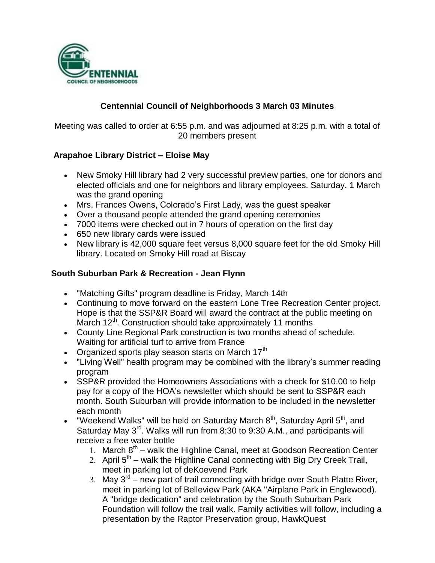

## **Centennial Council of Neighborhoods 3 March 03 Minutes**

Meeting was called to order at 6:55 p.m. and was adjourned at 8:25 p.m. with a total of 20 members present

### **Arapahoe Library District – Eloise May**

- New Smoky Hill library had 2 very successful preview parties, one for donors and elected officials and one for neighbors and library employees. Saturday, 1 March was the grand opening
- Mrs. Frances Owens, Colorado's First Lady, was the guest speaker
- Over a thousand people attended the grand opening ceremonies
- 7000 items were checked out in 7 hours of operation on the first day
- 650 new library cards were issued
- New library is 42,000 square feet versus 8,000 square feet for the old Smoky Hill library. Located on Smoky Hill road at Biscay

#### **South Suburban Park & Recreation - Jean Flynn**

- "Matching Gifts" program deadline is Friday, March 14th
- Continuing to move forward on the eastern Lone Tree Recreation Center project. Hope is that the SSP&R Board will award the contract at the public meeting on March 12<sup>th</sup>. Construction should take approximately 11 months
- County Line Regional Park construction is two months ahead of schedule. Waiting for artificial turf to arrive from France
- Organized sports play season starts on March  $17<sup>th</sup>$
- "Living Well" health program may be combined with the library's summer reading program
- SSP&R provided the Homeowners Associations with a check for \$10.00 to help pay for a copy of the HOA's newsletter which should be sent to SSP&R each month. South Suburban will provide information to be included in the newsletter each month
- "Weekend Walks" will be held on Saturday March  $8<sup>th</sup>$ , Saturday April  $5<sup>th</sup>$ , and Saturday May 3<sup>rd</sup>. Walks will run from 8:30 to 9:30 A.M., and participants will receive a free water bottle
	- 1. March  $8<sup>th</sup>$  walk the Highline Canal, meet at Goodson Recreation Center
	- 2. April  $5<sup>th</sup>$  walk the Highline Canal connecting with Big Dry Creek Trail, meet in parking lot of deKoevend Park
	- 3. May  $3^{rd}$  new part of trail connecting with bridge over South Platte River, meet in parking lot of Belleview Park (AKA "Airplane Park in Englewood). A "bridge dedication" and celebration by the South Suburban Park Foundation will follow the trail walk. Family activities will follow, including a presentation by the Raptor Preservation group, HawkQuest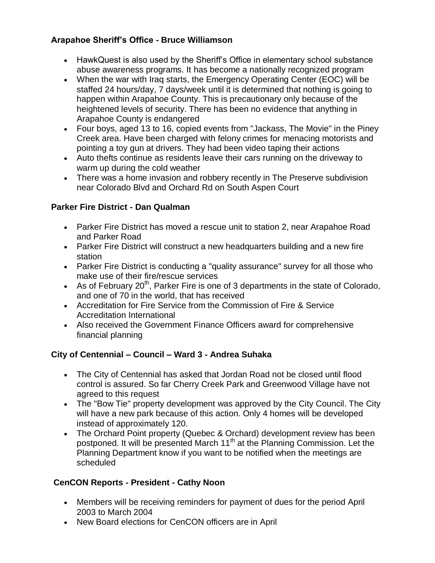## **Arapahoe Sheriff's Office - Bruce Williamson**

- HawkQuest is also used by the Sheriff's Office in elementary school substance abuse awareness programs. It has become a nationally recognized program
- When the war with Iraq starts, the Emergency Operating Center (EOC) will be staffed 24 hours/day, 7 days/week until it is determined that nothing is going to happen within Arapahoe County. This is precautionary only because of the heightened levels of security. There has been no evidence that anything in Arapahoe County is endangered
- Four boys, aged 13 to 16, copied events from "Jackass, The Movie" in the Piney Creek area. Have been charged with felony crimes for menacing motorists and pointing a toy gun at drivers. They had been video taping their actions
- Auto thefts continue as residents leave their cars running on the driveway to warm up during the cold weather
- There was a home invasion and robbery recently in The Preserve subdivision near Colorado Blvd and Orchard Rd on South Aspen Court

# **Parker Fire District - Dan Qualman**

- Parker Fire District has moved a rescue unit to station 2, near Arapahoe Road and Parker Road
- Parker Fire District will construct a new headquarters building and a new fire station
- Parker Fire District is conducting a "quality assurance" survey for all those who make use of their fire/rescue services
- As of February  $20<sup>th</sup>$ , Parker Fire is one of 3 departments in the state of Colorado, and one of 70 in the world, that has received
- Accreditation for Fire Service from the Commission of Fire & Service Accreditation International
- Also received the Government Finance Officers award for comprehensive financial planning

# **City of Centennial – Council – Ward 3 - Andrea Suhaka**

- The City of Centennial has asked that Jordan Road not be closed until flood control is assured. So far Cherry Creek Park and Greenwood Village have not agreed to this request
- The "Bow Tie" property development was approved by the City Council. The City will have a new park because of this action. Only 4 homes will be developed instead of approximately 120.
- The Orchard Point property (Quebec & Orchard) development review has been postponed. It will be presented March 11<sup>th</sup> at the Planning Commission. Let the Planning Department know if you want to be notified when the meetings are scheduled

## **CenCON Reports - President - Cathy Noon**

- Members will be receiving reminders for payment of dues for the period April 2003 to March 2004
- New Board elections for CenCON officers are in April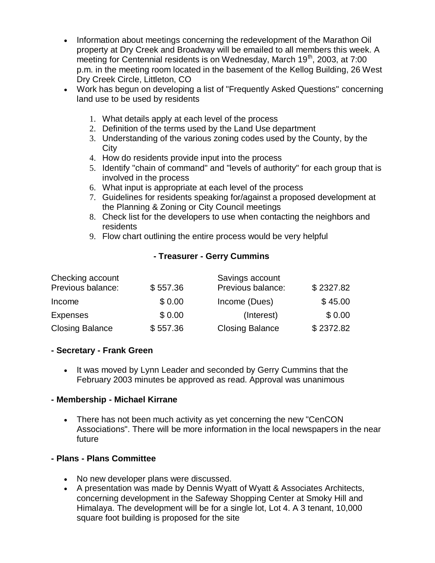- Information about meetings concerning the redevelopment of the Marathon Oil property at Dry Creek and Broadway will be emailed to all members this week. A meeting for Centennial residents is on Wednesday, March 19<sup>th</sup>, 2003, at 7:00 p.m. in the meeting room located in the basement of the Kellog Building, 26 West Dry Creek Circle, Littleton, CO
- Work has begun on developing a list of "Frequently Asked Questions" concerning land use to be used by residents
	- 1. What details apply at each level of the process
	- 2. Definition of the terms used by the Land Use department
	- 3. Understanding of the various zoning codes used by the County, by the **City**
	- 4. How do residents provide input into the process
	- 5. Identify "chain of command" and "levels of authority" for each group that is involved in the process
	- 6. What input is appropriate at each level of the process
	- 7. Guidelines for residents speaking for/against a proposed development at the Planning & Zoning or City Council meetings
	- 8. Check list for the developers to use when contacting the neighbors and residents
	- 9. Flow chart outlining the entire process would be very helpful

### **- Treasurer - Gerry Cummins**

| Checking account       |          | Savings account        |           |
|------------------------|----------|------------------------|-----------|
| Previous balance:      | \$557.36 | Previous balance:      | \$2327.82 |
| Income                 | \$0.00   | Income (Dues)          | \$45.00   |
| <b>Expenses</b>        | \$0.00   | (Interest)             | \$0.00    |
| <b>Closing Balance</b> | \$557.36 | <b>Closing Balance</b> | \$2372.82 |

#### **- Secretary - Frank Green**

• It was moved by Lynn Leader and seconded by Gerry Cummins that the February 2003 minutes be approved as read. Approval was unanimous

#### **- Membership - Michael Kirrane**

• There has not been much activity as yet concerning the new "CenCON Associations". There will be more information in the local newspapers in the near future

## **- Plans - Plans Committee**

- No new developer plans were discussed.
- A presentation was made by Dennis Wyatt of Wyatt & Associates Architects, concerning development in the Safeway Shopping Center at Smoky Hill and Himalaya. The development will be for a single lot, Lot 4. A 3 tenant, 10,000 square foot building is proposed for the site